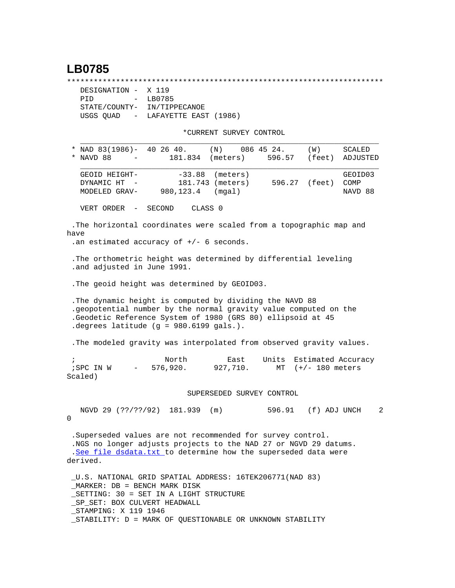## **LB0785**

\*\*\*\*\*\*\*\*\*\*\*\*\*\*\*\*\*\*\*\*\*\*\*\*\*\*\*\*\*\*\*\*\*\*\*\*\*\*\*\*\*\*\*\*\*\*\*\*\*\*\*\*\*\*\*\*\*\*\*\*\*\*\*\*\*\*\*\*\*\*\*

| DESIGNATION - X 119         |                                   |
|-----------------------------|-----------------------------------|
| PTD.                        | $-$ LB0785                        |
| STATE/COUNTY- IN/TIPPECANOE |                                   |
|                             | USGS OUAD - LAFAYETTE EAST (1986) |

\*CURRENT SURVEY CONTROL

|                                      |                                                   |                                                                                                                                                                                                                                        | "CURRENI SURVEI CONIROL                |        |                      |                            |
|--------------------------------------|---------------------------------------------------|----------------------------------------------------------------------------------------------------------------------------------------------------------------------------------------------------------------------------------------|----------------------------------------|--------|----------------------|----------------------------|
| NAVD 88                              | $\overline{\phantom{a}}$                          | NAD 83(1986)- 40 26 40.<br>181.834                                                                                                                                                                                                     | $(N)$ 086 45 24.<br>(meters)           | 596.57 | (W)<br>(feet)        | SCALED<br>ADJUSTED         |
| DYNAMIC HT                           | GEOID HEIGHT-<br>MODELED GRAV-                    | $-33.88$<br>980,123.4                                                                                                                                                                                                                  | (meters)<br>181.743 (meters)<br>(mqal) |        | 596.27 (feet)        | GEOID03<br>COMP<br>NAVD 88 |
| VERT ORDER                           | $\overline{\phantom{m}}$                          | SECOND                                                                                                                                                                                                                                 | CLASS 0                                |        |                      |                            |
| have                                 |                                                   | . The horizontal coordinates were scaled from a topographic map and<br>.an estimated accuracy of $+/-$ 6 seconds.                                                                                                                      |                                        |        |                      |                            |
|                                      |                                                   | . The orthometric height was determined by differential leveling<br>.and adjusted in June 1991.                                                                                                                                        |                                        |        |                      |                            |
|                                      |                                                   | . The geoid height was determined by GEOID03.                                                                                                                                                                                          |                                        |        |                      |                            |
|                                      |                                                   | . The dynamic height is computed by dividing the NAVD 88<br>.geopotential number by the normal gravity value computed on the<br>.Geodetic Reference System of 1980 (GRS 80) ellipsoid at 45<br>.degrees latitude (g = 980.6199 gals.). |                                        |        |                      |                            |
|                                      |                                                   | . The modeled gravity was interpolated from observed gravity values.                                                                                                                                                                   |                                        |        |                      |                            |
| $\mathbf{r}$<br>;SPC IN W<br>Scaled) | $\frac{1}{2}$ and $\frac{1}{2}$ and $\frac{1}{2}$ | North<br>576,920.                                                                                                                                                                                                                      | East<br>927,710.                       | Units  | MT $(+/- 180$ meters | Estimated Accuracy         |
|                                      |                                                   |                                                                                                                                                                                                                                        | SUPERSEDED SURVEY CONTROL              |        |                      |                            |
| 0                                    |                                                   | NGVD 29 (??/??/92) 181.939                                                                                                                                                                                                             | (m)                                    | 596.91 | (f) ADJ UNCH         | 2                          |
| derived.                             |                                                   | .Superseded values are not recommended for survey control.<br>.NGS no longer adjusts projects to the NAD 27 or NGVD 29 datums.<br>.See file dsdata.txt to determine how the superseded data were                                       |                                        |        |                      |                            |
| STAMPING: X 119 1946                 |                                                   | U.S. NATIONAL GRID SPATIAL ADDRESS: 16TEK206771(NAD 83)<br>$MARKER: DB = BENCH MARK DISK$<br>_SETTING: 30 = SET IN A LIGHT STRUCTURE<br>_SP_SET: BOX CULVERT HEADWALL<br>_STABILITY: D = MARK OF QUESTIONABLE OR UNKNOWN STABILITY     |                                        |        |                      |                            |